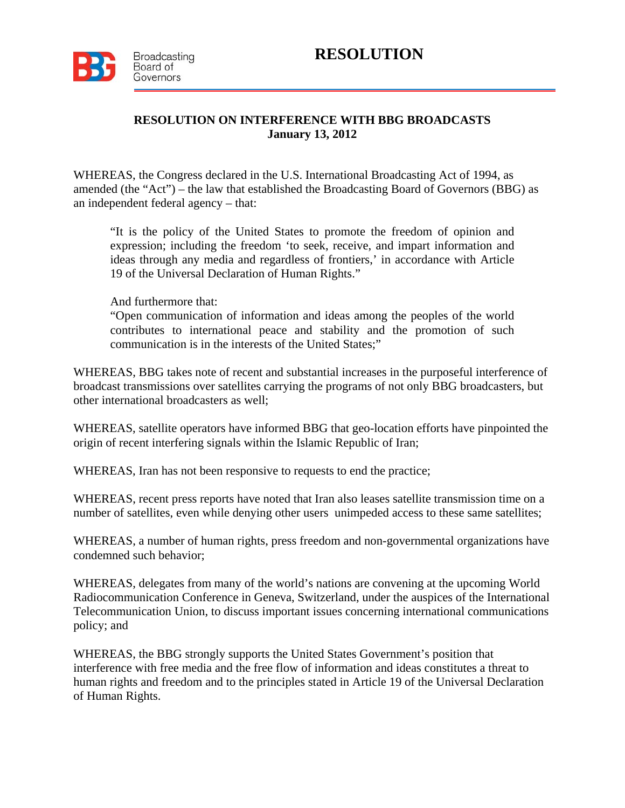

## **RESOLUTION ON INTERFERENCE WITH BBG BROADCASTS January 13, 2012**

WHEREAS, the Congress declared in the U.S. International Broadcasting Act of 1994, as amended (the "Act") – the law that established the Broadcasting Board of Governors (BBG) as an independent federal agency – that:

"It is the policy of the United States to promote the freedom of opinion and expression; including the freedom 'to seek, receive, and impart information and ideas through any media and regardless of frontiers,' in accordance with Article 19 of the Universal Declaration of Human Rights."

And furthermore that:

"Open communication of information and ideas among the peoples of the world contributes to international peace and stability and the promotion of such communication is in the interests of the United States;"

WHEREAS, BBG takes note of recent and substantial increases in the purposeful interference of broadcast transmissions over satellites carrying the programs of not only BBG broadcasters, but other international broadcasters as well;

WHEREAS, satellite operators have informed BBG that geo-location efforts have pinpointed the origin of recent interfering signals within the Islamic Republic of Iran;

WHEREAS, Iran has not been responsive to requests to end the practice;

WHEREAS, recent press reports have noted that Iran also leases satellite transmission time on a number of satellites, even while denying other users unimpeded access to these same satellites;

WHEREAS, a number of human rights, press freedom and non-governmental organizations have condemned such behavior;

WHEREAS, delegates from many of the world's nations are convening at the upcoming World Radiocommunication Conference in Geneva, Switzerland, under the auspices of the International Telecommunication Union, to discuss important issues concerning international communications policy; and

WHEREAS, the BBG strongly supports the United States Government's position that interference with free media and the free flow of information and ideas constitutes a threat to human rights and freedom and to the principles stated in Article 19 of the Universal Declaration of Human Rights.